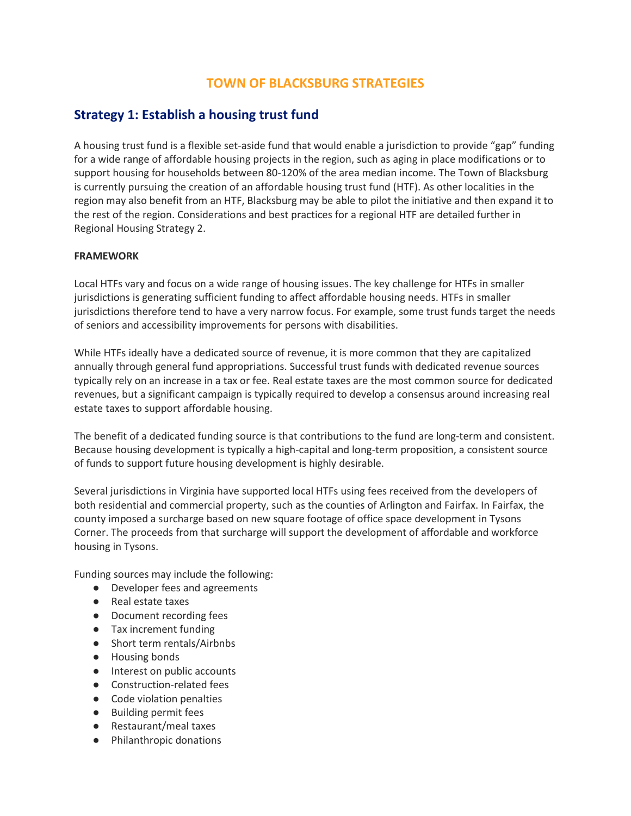# **TOWN OF BLACKSBURG STRATEGIES**

# **Strategy 1: Establish a housing trust fund**

A housing trust fund is a flexible set-aside fund that would enable a jurisdiction to provide "gap" funding for a wide range of affordable housing projects in the region, such as aging in place modifications or to support housing for households between 80-120% of the area median income. The Town of Blacksburg is currently pursuing the creation of an affordable housing trust fund (HTF). As other localities in the region may also benefit from an HTF, Blacksburg may be able to pilot the initiative and then expand it to the rest of the region. Considerations and best practices for a regional HTF are detailed further in Regional Housing Strategy 2.

## **FRAMEWORK**

Local HTFs vary and focus on a wide range of housing issues. The key challenge for HTFs in smaller jurisdictions is generating sufficient funding to affect affordable housing needs. HTFs in smaller jurisdictions therefore tend to have a very narrow focus. For example, some trust funds target the needs of seniors and accessibility improvements for persons with disabilities.

While HTFs ideally have a dedicated source of revenue, it is more common that they are capitalized annually through general fund appropriations. Successful trust funds with dedicated revenue sources typically rely on an increase in a tax or fee. Real estate taxes are the most common source for dedicated revenues, but a significant campaign is typically required to develop a consensus around increasing real estate taxes to support affordable housing.

The benefit of a dedicated funding source is that contributions to the fund are long-term and consistent. Because housing development is typically a high-capital and long-term proposition, a consistent source of funds to support future housing development is highly desirable.

Several jurisdictions in Virginia have supported local HTFs using fees received from the developers of both residential and commercial property, such as the counties of Arlington and Fairfax. In Fairfax, the county imposed a surcharge based on new square footage of office space development in Tysons Corner. The proceeds from that surcharge will support the development of affordable and workforce housing in Tysons.

Funding sources may include the following:

- Developer fees and agreements
- Real estate taxes
- Document recording fees
- Tax increment funding
- Short term rentals/Airbnbs
- Housing bonds
- Interest on public accounts
- Construction-related fees
- Code violation penalties
- Building permit fees
- Restaurant/meal taxes
- Philanthropic donations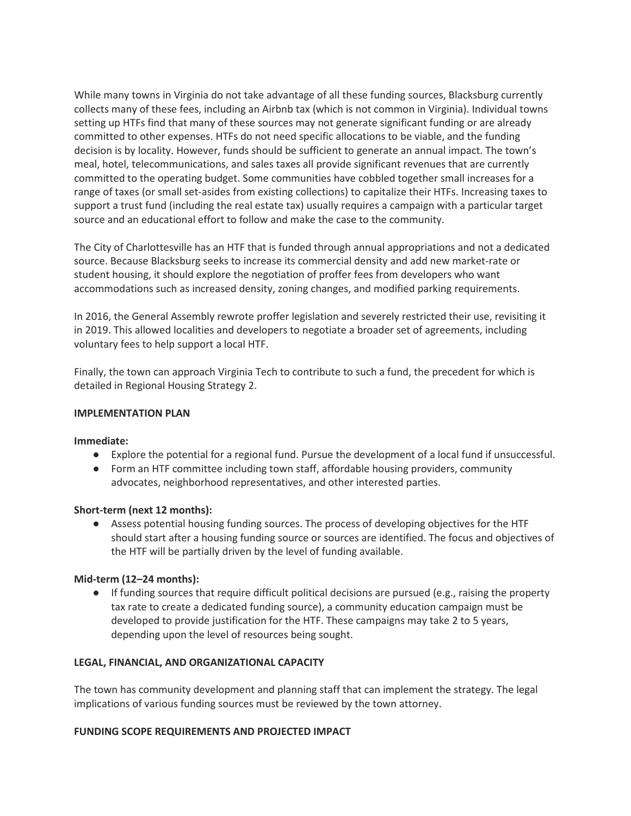While many towns in Virginia do not take advantage of all these funding sources, Blacksburg currently collects many of these fees, including an Airbnb tax (which is not common in Virginia). Individual towns setting up HTFs find that many of these sources may not generate significant funding or are already committed to other expenses. HTFs do not need specific allocations to be viable, and the funding decision is by locality. However, funds should be sufficient to generate an annual impact. The town's meal, hotel, telecommunications, and sales taxes all provide significant revenues that are currently committed to the operating budget. Some communities have cobbled together small increases for a range of taxes (or small set-asides from existing collections) to capitalize their HTFs. Increasing taxes to support a trust fund (including the real estate tax) usually requires a campaign with a particular target source and an educational effort to follow and make the case to the community.

The City of Charlottesville has an HTF that is funded through annual appropriations and not a dedicated source. Because Blacksburg seeks to increase its commercial density and add new market-rate or student housing, it should explore the negotiation of proffer fees from developers who want accommodations such as increased density, zoning changes, and modified parking requirements.

In 2016, the General Assembly rewrote proffer legislation and severely restricted their use, revisiting it in 2019. This allowed localities and developers to negotiate a broader set of agreements, including voluntary fees to help support a local HTF.

Finally, the town can approach Virginia Tech to contribute to such a fund, the precedent for which is detailed in Regional Housing Strategy 2.

### **IMPLEMENTATION PLAN**

### **Immediate:**

- Explore the potential for a regional fund. Pursue the development of a local fund if unsuccessful.
- Form an HTF committee including town staff, affordable housing providers, community advocates, neighborhood representatives, and other interested parties.

### **Short-term (next 12 months):**

● Assess potential housing funding sources. The process of developing objectives for the HTF should start after a housing funding source or sources are identified. The focus and objectives of the HTF will be partially driven by the level of funding available.

### **Mid-term (12–24 months):**

● If funding sources that require difficult political decisions are pursued (e.g., raising the property tax rate to create a dedicated funding source), a community education campaign must be developed to provide justification for the HTF. These campaigns may take 2 to 5 years, depending upon the level of resources being sought.

### **LEGAL, FINANCIAL, AND ORGANIZATIONAL CAPACITY**

The town has community development and planning staff that can implement the strategy. The legal implications of various funding sources must be reviewed by the town attorney.

### **FUNDING SCOPE REQUIREMENTS AND PROJECTED IMPACT**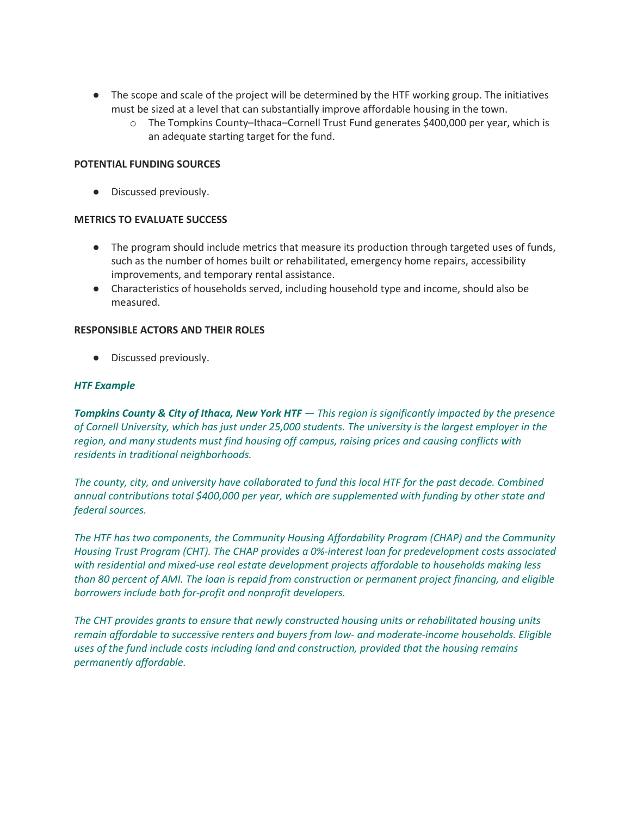- The scope and scale of the project will be determined by the HTF working group. The initiatives must be sized at a level that can substantially improve affordable housing in the town.
	- o The Tompkins County–Ithaca–Cornell Trust Fund generates \$400,000 per year, which is an adequate starting target for the fund.

### **POTENTIAL FUNDING SOURCES**

● Discussed previously.

### **METRICS TO EVALUATE SUCCESS**

- The program should include metrics that measure its production through targeted uses of funds, such as the number of homes built or rehabilitated, emergency home repairs, accessibility improvements, and temporary rental assistance.
- Characteristics of households served, including household type and income, should also be measured.

### **RESPONSIBLE ACTORS AND THEIR ROLES**

● Discussed previously.

### *HTF Example*

*Tompkins County & City of Ithaca, New York HTF — This region is significantly impacted by the presence of Cornell University, which has just under 25,000 students. The university is the largest employer in the region, and many students must find housing off campus, raising prices and causing conflicts with residents in traditional neighborhoods.*

*The county, city, and university have collaborated to fund this local HTF for the past decade. Combined annual contributions total \$400,000 per year, which are supplemented with funding by other state and federal sources.*

*The HTF has two components, the Community Housing Affordability Program (CHAP) and the Community Housing Trust Program (CHT). The CHAP provides a 0%-interest loan for predevelopment costs associated with residential and mixed-use real estate development projects affordable to households making less than 80 percent of AMI. The loan is repaid from construction or permanent project financing, and eligible borrowers include both for-profit and nonprofit developers.*

*The CHT provides grants to ensure that newly constructed housing units or rehabilitated housing units remain affordable to successive renters and buyers from low- and moderate-income households. Eligible uses of the fund include costs including land and construction, provided that the housing remains permanently affordable.*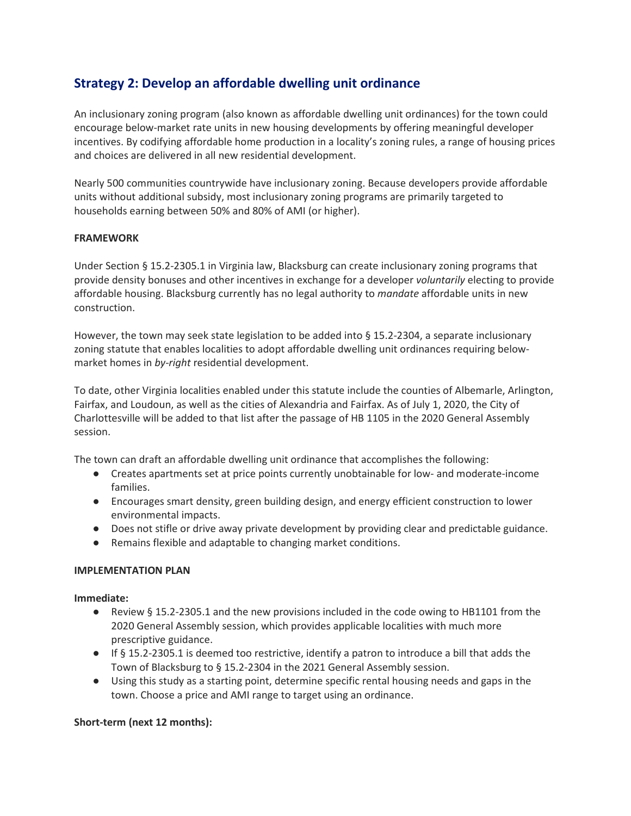# **Strategy 2: Develop an affordable dwelling unit ordinance**

An inclusionary zoning program (also known as affordable dwelling unit ordinances) for the town could encourage below-market rate units in new housing developments by offering meaningful developer incentives. By codifying affordable home production in a locality's zoning rules, a range of housing prices and choices are delivered in all new residential development.

Nearly 500 communities countrywide have inclusionary zoning. Because developers provide affordable units without additional subsidy, most inclusionary zoning programs are primarily targeted to households earning between 50% and 80% of AMI (or higher).

## **FRAMEWORK**

Under Section § 15.2-2305.1 in Virginia law, Blacksburg can create inclusionary zoning programs that provide density bonuses and other incentives in exchange for a developer *voluntarily* electing to provide affordable housing. Blacksburg currently has no legal authority to *mandate* affordable units in new construction.

However, the town may seek state legislation to be added into § 15.2-2304, a separate inclusionary zoning statute that enables localities to adopt affordable dwelling unit ordinances requiring belowmarket homes in *by-right* residential development.

To date, other Virginia localities enabled under this statute include the counties of Albemarle, Arlington, Fairfax, and Loudoun, as well as the cities of Alexandria and Fairfax. As of July 1, 2020, the City of Charlottesville will be added to that list after the passage of HB 1105 in the 2020 General Assembly session.

The town can draft an affordable dwelling unit ordinance that accomplishes the following:

- Creates apartments set at price points currently unobtainable for low- and moderate-income families.
- Encourages smart density, green building design, and energy efficient construction to lower environmental impacts.
- Does not stifle or drive away private development by providing clear and predictable guidance.
- Remains flexible and adaptable to changing market conditions.

### **IMPLEMENTATION PLAN**

### **Immediate:**

- Review § 15.2-2305.1 and the new provisions included in the code owing to HB1101 from the 2020 General Assembly session, which provides applicable localities with much more prescriptive guidance.
- If § 15.2-2305.1 is deemed too restrictive, identify a patron to introduce a bill that adds the Town of Blacksburg to § 15.2-2304 in the 2021 General Assembly session.
- Using this study as a starting point, determine specific rental housing needs and gaps in the town. Choose a price and AMI range to target using an ordinance.

### **Short-term (next 12 months):**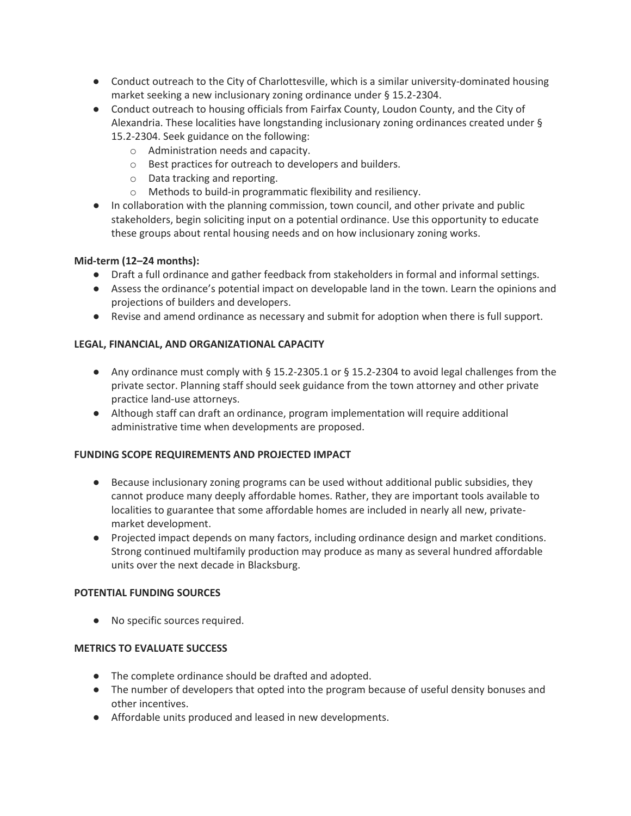- Conduct outreach to the City of Charlottesville, which is a similar university-dominated housing market seeking a new inclusionary zoning ordinance under § 15.2-2304.
- Conduct outreach to housing officials from Fairfax County, Loudon County, and the City of Alexandria. These localities have longstanding inclusionary zoning ordinances created under § 15.2-2304. Seek guidance on the following:
	- o Administration needs and capacity.
	- o Best practices for outreach to developers and builders.
	- o Data tracking and reporting.
	- o Methods to build-in programmatic flexibility and resiliency.
- In collaboration with the planning commission, town council, and other private and public stakeholders, begin soliciting input on a potential ordinance. Use this opportunity to educate these groups about rental housing needs and on how inclusionary zoning works.

## **Mid-term (12–24 months):**

- Draft a full ordinance and gather feedback from stakeholders in formal and informal settings.
- Assess the ordinance's potential impact on developable land in the town. Learn the opinions and projections of builders and developers.
- Revise and amend ordinance as necessary and submit for adoption when there is full support.

## **LEGAL, FINANCIAL, AND ORGANIZATIONAL CAPACITY**

- Any ordinance must comply with  $\S$  15.2-2305.1 or  $\S$  15.2-2304 to avoid legal challenges from the private sector. Planning staff should seek guidance from the town attorney and other private practice land-use attorneys.
- Although staff can draft an ordinance, program implementation will require additional administrative time when developments are proposed.

## **FUNDING SCOPE REQUIREMENTS AND PROJECTED IMPACT**

- Because inclusionary zoning programs can be used without additional public subsidies, they cannot produce many deeply affordable homes. Rather, they are important tools available to localities to guarantee that some affordable homes are included in nearly all new, privatemarket development.
- Projected impact depends on many factors, including ordinance design and market conditions. Strong continued multifamily production may produce as many as several hundred affordable units over the next decade in Blacksburg.

### **POTENTIAL FUNDING SOURCES**

● No specific sources required.

### **METRICS TO EVALUATE SUCCESS**

- The complete ordinance should be drafted and adopted.
- The number of developers that opted into the program because of useful density bonuses and other incentives.
- Affordable units produced and leased in new developments.